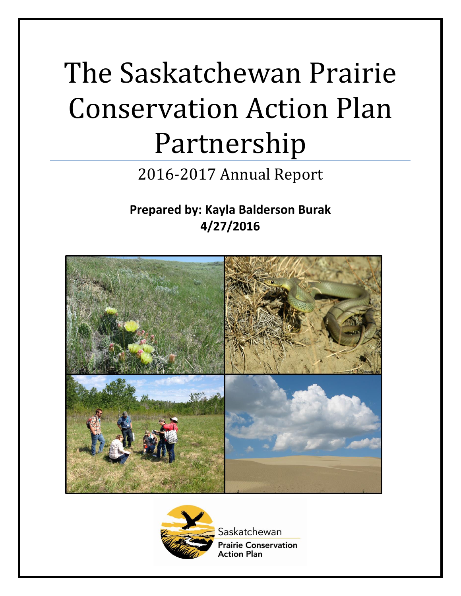# The Saskatchewan Prairie Conservation Action Plan Partnership

# 2016-2017 Annual Report

**Prepared by: Kayla Balderson Burak 4/27/2016**





Saskatchewan **Prairie Conservation Action Plan**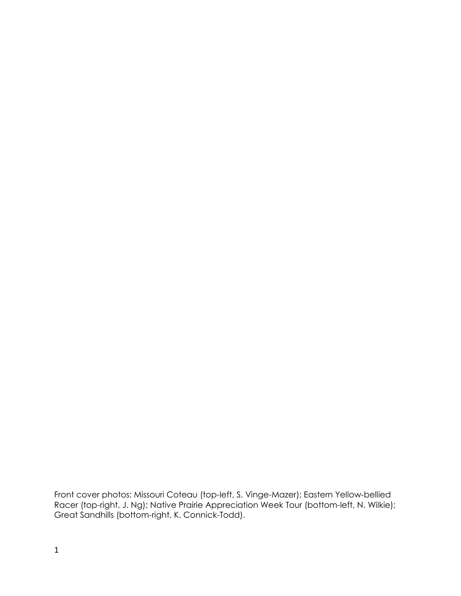Front cover photos: Missouri Coteau (top-left, S. Vinge-Mazer); Eastern Yellow-bellied Racer (top-right, J. Ng); Native Prairie Appreciation Week Tour (bottom-left, N. Wilkie); Great Sandhills (bottom-right, K. Connick-Todd).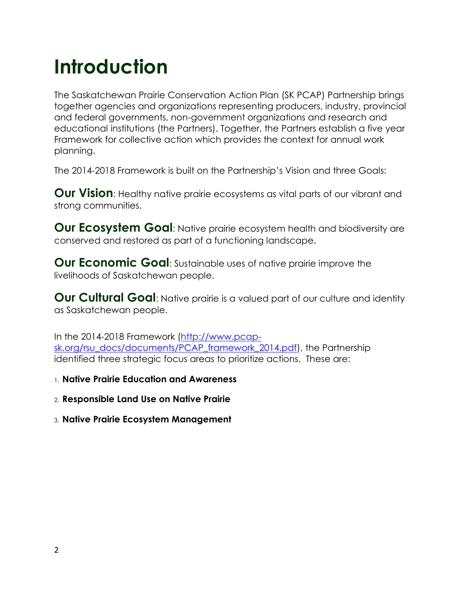# **Introduction**

The Saskatchewan Prairie Conservation Action Plan (SK PCAP) Partnership brings together agencies and organizations representing producers, industry, provincial and federal governments, non-government organizations and research and educational institutions (the Partners). Together, the Partners establish a five year Framework for collective action which provides the context for annual work planning.

The 2014-2018 Framework is built on the Partnership's Vision and three Goals:

**Our Vision**: Healthy native prairie ecosystems as vital parts of our vibrant and strong communities.

**Our Ecosystem Goal:** Native prairie ecosystem health and biodiversity are conserved and restored as part of a functioning landscape.

**Our Economic Goal:** Sustainable uses of native prairie improve the livelihoods of Saskatchewan people.

**Our Cultural Goal**: Native prairie is a valued part of our culture and identity as Saskatchewan people.

In the 2014-2018 Framework [\(http://www.pcap](http://www.pcap-sk.org/rsu_docs/documents/PCAP_framework_2014.pdf)[sk.org/rsu\\_docs/documents/PCAP\\_framework\\_2014.pdf\)](http://www.pcap-sk.org/rsu_docs/documents/PCAP_framework_2014.pdf), the Partnership identified three strategic focus areas to prioritize actions. These are:

1. **Native Prairie Education and Awareness**

- 2. **Responsible Land Use on Native Prairie**
- <span id="page-2-0"></span>3. **Native Prairie Ecosystem Management**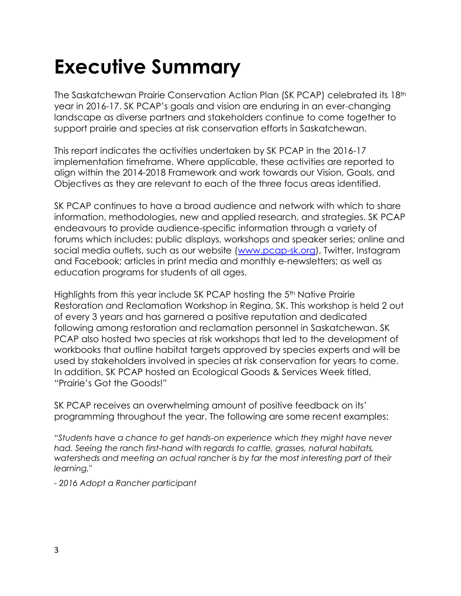# **Executive Summary**

The Saskatchewan Prairie Conservation Action Plan (SK PCAP) celebrated its 18th year in 2016-17. SK PCAP's goals and vision are enduring in an ever-changing landscape as diverse partners and stakeholders continue to come together to support prairie and species at risk conservation efforts in Saskatchewan.

This report indicates the activities undertaken by SK PCAP in the 2016-17 implementation timeframe. Where applicable, these activities are reported to align within the 2014-2018 Framework and work towards our Vision, Goals, and Objectives as they are relevant to each of the three focus areas identified.

SK PCAP continues to have a broad audience and network with which to share information, methodologies, new and applied research, and strategies. SK PCAP endeavours to provide audience-specific information through a variety of forums which includes: public displays, workshops and speaker series; online and social media outlets, such as our website [\(www.pcap-sk.org\)](http://www.pcap-sk.org/), Twitter, Instagram and Facebook; articles in print media and monthly e-newsletters; as well as education programs for students of all ages.

Highlights from this year include SK PCAP hosting the 5<sup>th</sup> Native Prairie Restoration and Reclamation Workshop in Regina, SK. This workshop is held 2 out of every 3 years and has garnered a positive reputation and dedicated following among restoration and reclamation personnel in Saskatchewan. SK PCAP also hosted two species at risk workshops that led to the development of workbooks that outline habitat targets approved by species experts and will be used by stakeholders involved in species at risk conservation for years to come. In addition, SK PCAP hosted an Ecological Goods & Services Week titled, "Prairie's Got the Goods!"

SK PCAP receives an overwhelming amount of positive feedback on its' programming throughout the year. The following are some recent examples:

*"Students have a chance to get hands-on experience which they might have never had. Seeing the ranch first-hand with regards to cattle, grasses, natural habitats,*  watersheds and meeting an actual rancher is by far the most interesting part of their *learning."*

*- 2016 Adopt a Rancher participant*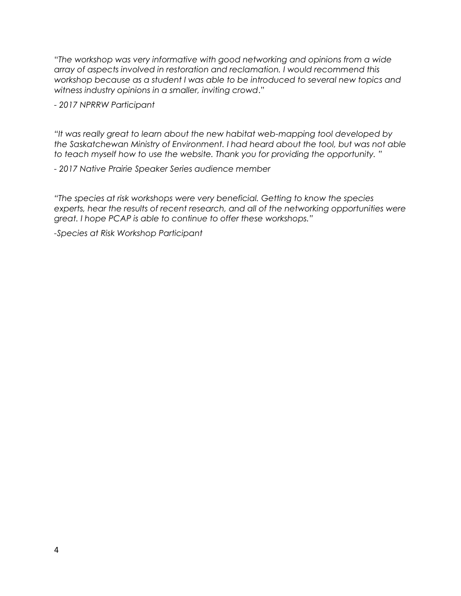"*The workshop was very informative with good networking and opinions from a wide array of aspects involved in restoration and reclamation. I would recommend this workshop because as a student I was able to be introduced to several new topics and witness industry opinions in a smaller, inviting crowd*."

*- 2017 NPRRW Participant*

*"It was really great to learn about the new habitat web-mapping tool developed by the Saskatchewan Ministry of Environment. I had heard about the tool, but was not able to teach myself how to use the website. Thank you for providing the opportunity. "*

*- 2017 Native Prairie Speaker Series audience member*

*"The species at risk workshops were very beneficial. Getting to know the species experts, hear the results of recent research, and all of the networking opportunities were great. I hope PCAP is able to continue to offer these workshops."*

*-Species at Risk Workshop Participant*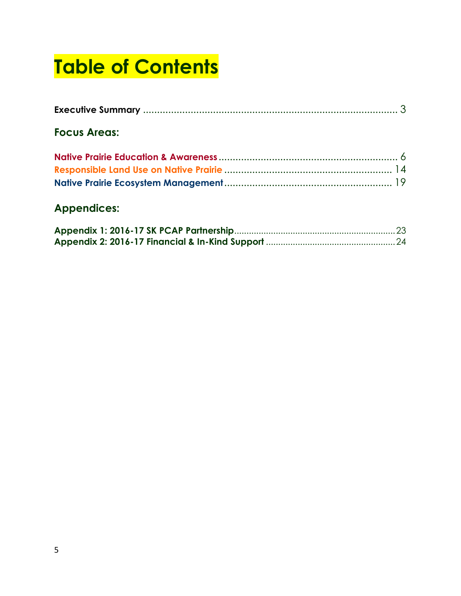# **Table of Contents**

| <b>Focus Areas:</b> |  |
|---------------------|--|
|                     |  |
|                     |  |
|                     |  |

# **Appendices:**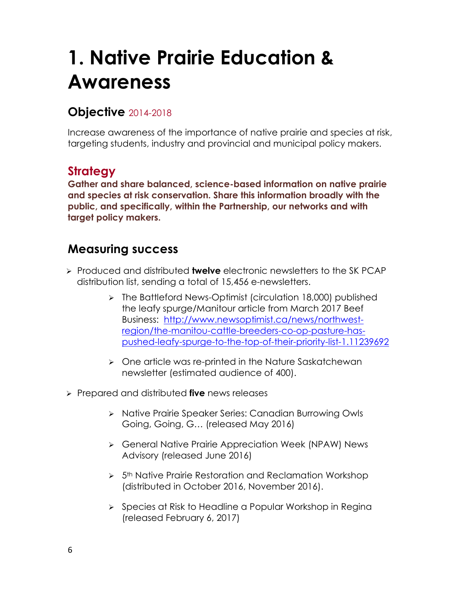# <span id="page-6-0"></span>**1. Native Prairie Education & Awareness**

### **Objective** 2014-2018

Increase awareness of the importance of native prairie and species at risk, targeting students, industry and provincial and municipal policy makers.

# **Strategy**

**Gather and share balanced, science-based information on native prairie and species at risk conservation. Share this information broadly with the public, and specifically, within the Partnership, our networks and with target policy makers.**

- Produced and distributed **twelve** electronic newsletters to the SK PCAP distribution list, sending a total of 15,456 e-newsletters.
	- > The Battleford News-Optimist (circulation 18,000) published the leafy spurge/Manitour article from March 2017 Beef Business: [http://www.newsoptimist.ca/news/northwest](http://www.newsoptimist.ca/news/northwest-region/the-manitou-cattle-breeders-co-op-pasture-has-pushed-leafy-spurge-to-the-top-of-their-priority-list-1.11239692)[region/the-manitou-cattle-breeders-co-op-pasture-has](http://www.newsoptimist.ca/news/northwest-region/the-manitou-cattle-breeders-co-op-pasture-has-pushed-leafy-spurge-to-the-top-of-their-priority-list-1.11239692)[pushed-leafy-spurge-to-the-top-of-their-priority-list-1.11239692](http://www.newsoptimist.ca/news/northwest-region/the-manitou-cattle-breeders-co-op-pasture-has-pushed-leafy-spurge-to-the-top-of-their-priority-list-1.11239692)
	- One article was re-printed in the Nature Saskatchewan newsletter (estimated audience of 400).
- Prepared and distributed **five** news releases
	- > Native Prairie Speaker Series: Canadian Burrowing Owls Going, Going, G… (released May 2016)
	- General Native Prairie Appreciation Week (NPAW) News Advisory (released June 2016)
	- $> 5<sup>th</sup>$  Native Prairie Restoration and Reclamation Workshop (distributed in October 2016, November 2016).
	- $\triangleright$  Species at Risk to Headline a Popular Workshop in Regina (released February 6, 2017)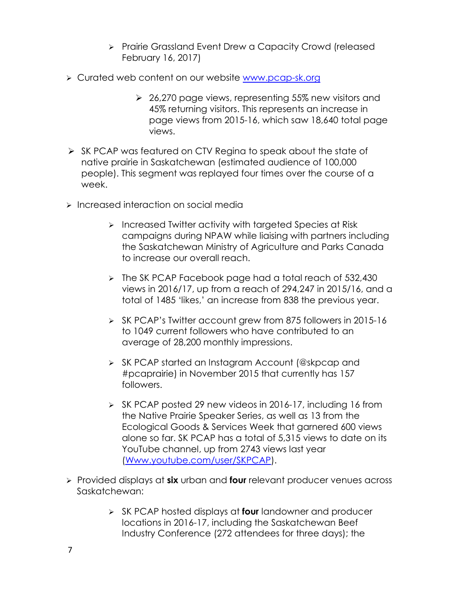- > Prairie Grassland Event Drew a Capacity Crowd (released February 16, 2017)
- Curated web content on our website [www.pcap-sk.org](http://www.pcap-sk.org/)
	- 26,270 page views, representing 55% new visitors and 45% returning visitors. This represents an increase in page views from 2015-16, which saw 18,640 total page views.
- $\triangleright$  SK PCAP was featured on CTV Regina to speak about the state of native prairie in Saskatchewan (estimated audience of 100,000 people). This segment was replayed four times over the course of a week.
- **Increased interaction on social media** 
	- $\triangleright$  Increased Twitter activity with targeted Species at Risk campaigns during NPAW while liaising with partners including the Saskatchewan Ministry of Agriculture and Parks Canada to increase our overall reach.
	- $\triangleright$  The SK PCAP Facebook page had a total reach of 532,430 views in 2016/17, up from a reach of 294,247 in 2015/16, and a total of 1485 'likes,' an increase from 838 the previous year.
	- SK PCAP's Twitter account grew from 875 followers in 2015-16 to 1049 current followers who have contributed to an average of 28,200 monthly impressions.
	- SK PCAP started an Instagram Account (@skpcap and #pcaprairie) in November 2015 that currently has 157 followers.
	- $\triangleright$  SK PCAP posted 29 new videos in 2016-17, including 16 from the Native Prairie Speaker Series, as well as 13 from the Ecological Goods & Services Week that garnered 600 views alone so far. SK PCAP has a total of 5,315 views to date on its YouTube channel, up from 2743 views last year [\(Www.youtube.com/user/SKPCAP\)](http://www.youtube.com/user/SKPCAP).
- Provided displays at **six** urban and **four** relevant producer venues across Saskatchewan:
	- SK PCAP hosted displays at **four** landowner and producer locations in 2016-17, including the Saskatchewan Beef Industry Conference (272 attendees for three days); the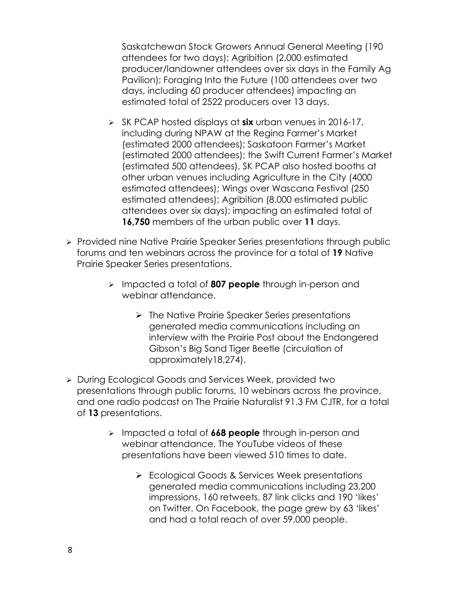Saskatchewan Stock Growers Annual General Meeting (190 attendees for two days); Agribition (2,000 estimated producer/landowner attendees over six days in the Family Ag Pavilion); Foraging Into the Future (100 attendees over two days, including 60 producer attendees) impacting an estimated total of 2522 producers over 13 days.

- SK PCAP hosted displays at **six** urban venues in 2016-17, including during NPAW at the Regina Farmer's Market (estimated 2000 attendees); Saskatoon Farmer's Market (estimated 2000 attendees); the Swift Current Farmer's Market (estimated 500 attendees). SK PCAP also hosted booths at other urban venues including Agriculture in the City (4000 estimated attendees); Wings over Wascana Festival (250 estimated attendees); Agribition (8,000 estimated public attendees over six days); impacting an estimated total of **16,750** members of the urban public over **11** days.
- > Provided nine Native Prairie Speaker Series presentations through public forums and ten webinars across the province for a total of **19** Native Prairie Speaker Series presentations.
	- Impacted a total of **807 people** through in-person and webinar attendance.
		- $\triangleright$  The Native Prairie Speaker Series presentations generated media communications including an interview with the Prairie Post about the Endangered Gibson's Big Sand Tiger Beetle (circulation of approximately18,274).
- During Ecological Goods and Services Week, provided two presentations through public forums, 10 webinars across the province, and one radio podcast on The Prairie Naturalist 91.3 FM CJTR, for a total of **13** presentations.
	- Impacted a total of **668 people** through in-person and webinar attendance. The YouTube videos of these presentations have been viewed 510 times to date.
		- Ecological Goods & Services Week presentations generated media communications including 23,200 impressions, 160 retweets, 87 link clicks and 190 'likes' on Twitter. On Facebook, the page grew by 63 'likes' and had a total reach of over 59,000 people.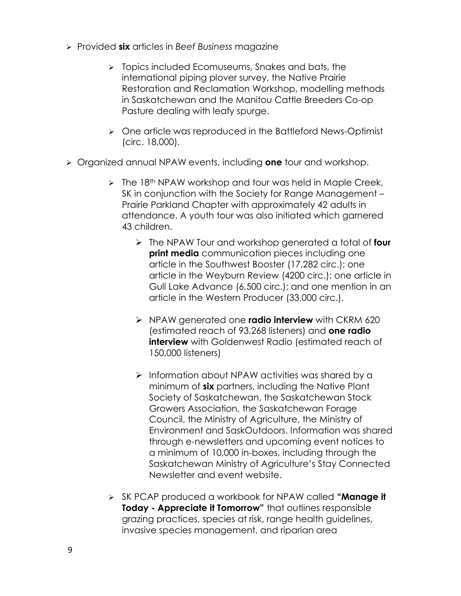- Provided **six** articles in *Beef Business* magazine
	- $\triangleright$  Topics included Ecomuseums, Snakes and bats, the international piping plover survey, the Native Prairie Restoration and Reclamation Workshop, modelling methods in Saskatchewan and the Manitou Cattle Breeders Co-op Pasture dealing with leafy spurge.
	- One article was reproduced in the Battleford News-Optimist (circ. 18,000).
- Organized annual NPAW events, including **one** tour and workshop.
	- $\triangleright$  The 18<sup>th</sup> NPAW workshop and tour was held in Maple Creek, SK in conjunction with the Society for Range Management – Prairie Parkland Chapter with approximately 42 adults in attendance. A youth tour was also initiated which garnered 43 children.
		- The NPAW Tour and workshop generated a total of **four print media** communication pieces including one article in the Southwest Booster (17,282 circ.); one article in the Weyburn Review (4200 circ.); one article in Gull Lake Advance (6,500 circ.); and one mention in an article in the Western Producer (33,000 circ.).
		- NPAW generated one **radio interview** with CKRM 620 (estimated reach of 93,268 listeners) and **one radio interview** with Goldenwest Radio (estimated reach of 150,000 listeners)
		- $\triangleright$  Information about NPAW activities was shared by a minimum of **six** partners, including the Native Plant Society of Saskatchewan, the Saskatchewan Stock Growers Association, the Saskatchewan Forage Council, the Ministry of Agriculture, the Ministry of Environment and SaskOutdoors. Information was shared through e-newsletters and upcoming event notices to a minimum of 10,000 in-boxes, including through the Saskatchewan Ministry of Agriculture's Stay Connected Newsletter and event website.
	- SK PCAP produced a workbook for NPAW called **"Manage it Today - Appreciate it Tomorrow"** that outlines responsible grazing practices, species at risk, range health guidelines, invasive species management, and riparian area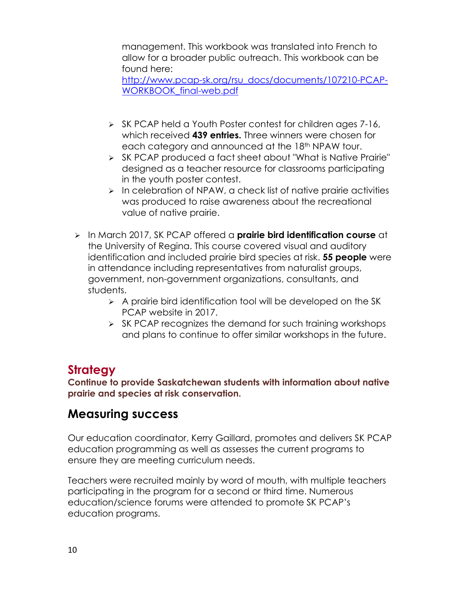management. This workbook was translated into French to allow for a broader public outreach. This workbook can be found here:

[http://www.pcap-sk.org/rsu\\_docs/documents/107210-PCAP-](http://www.pcap-sk.org/rsu_docs/documents/107210-PCAP-WORKBOOK_final-web.pdf)[WORKBOOK\\_final-web.pdf](http://www.pcap-sk.org/rsu_docs/documents/107210-PCAP-WORKBOOK_final-web.pdf)

- $\triangleright$  SK PCAP held a Youth Poster contest for children ages 7-16, which received **439 entries.** Three winners were chosen for each category and announced at the 18<sup>th</sup> NPAW tour.
- SK PCAP produced a fact sheet about "What is Native Prairie" designed as a teacher resource for classrooms participating in the youth poster contest.
- $\triangleright$  In celebration of NPAW, a check list of native prairie activities was produced to raise awareness about the recreational value of native prairie.
- In March 2017, SK PCAP offered a **prairie bird identification course** at the University of Regina. This course covered visual and auditory identification and included prairie bird species at risk. **55 people** were in attendance including representatives from naturalist groups, government, non-government organizations, consultants, and students.
	- $\triangleright$  A prairie bird identification tool will be developed on the SK PCAP website in 2017.
	- $\triangleright$  SK PCAP recognizes the demand for such training workshops and plans to continue to offer similar workshops in the future.

# **Strategy**

**Continue to provide Saskatchewan students with information about native prairie and species at risk conservation.**

# **Measuring success**

Our education coordinator, Kerry Gaillard, promotes and delivers SK PCAP education programming as well as assesses the current programs to ensure they are meeting curriculum needs.

Teachers were recruited mainly by word of mouth, with multiple teachers participating in the program for a second or third time. Numerous education/science forums were attended to promote SK PCAP's education programs.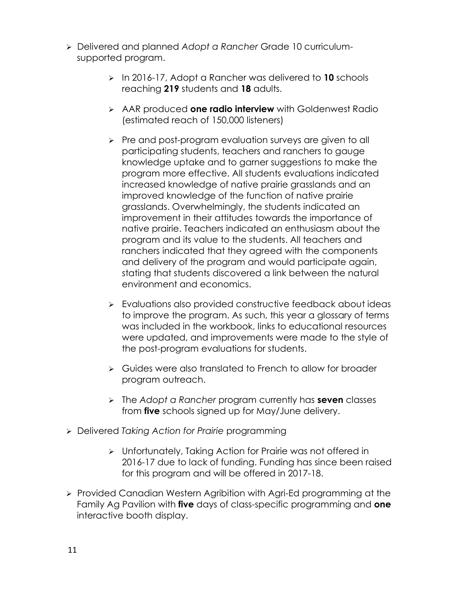- Delivered and planned *Adopt a Rancher* Grade 10 curriculumsupported program.
	- In 2016-17, Adopt a Rancher was delivered to **10** schools reaching **219** students and **18** adults.
	- AAR produced **one radio interview** with Goldenwest Radio (estimated reach of 150,000 listeners)
	- **Pre and post-program evaluation surveys are given to all >>** participating students, teachers and ranchers to gauge knowledge uptake and to garner suggestions to make the program more effective. All students evaluations indicated increased knowledge of native prairie grasslands and an improved knowledge of the function of native prairie grasslands. Overwhelmingly, the students indicated an improvement in their attitudes towards the importance of native prairie. Teachers indicated an enthusiasm about the program and its value to the students. All teachers and ranchers indicated that they agreed with the components and delivery of the program and would participate again, stating that students discovered a link between the natural environment and economics.
	- Evaluations also provided constructive feedback about ideas to improve the program. As such, this year a glossary of terms was included in the workbook, links to educational resources were updated, and improvements were made to the style of the post-program evaluations for students.
	- **►** Guides were also translated to French to allow for broader program outreach.
	- The *Adopt a Rancher* program currently has **seven** classes from **five** schools signed up for May/June delivery.
- Delivered *Taking Action for Prairie* programming
	- Unfortunately, Taking Action for Prairie was not offered in 2016-17 due to lack of funding. Funding has since been raised for this program and will be offered in 2017-18.
- > Provided Canadian Western Agribition with Agri-Ed programming at the Family Ag Pavilion with **five** days of class-specific programming and **one** interactive booth display.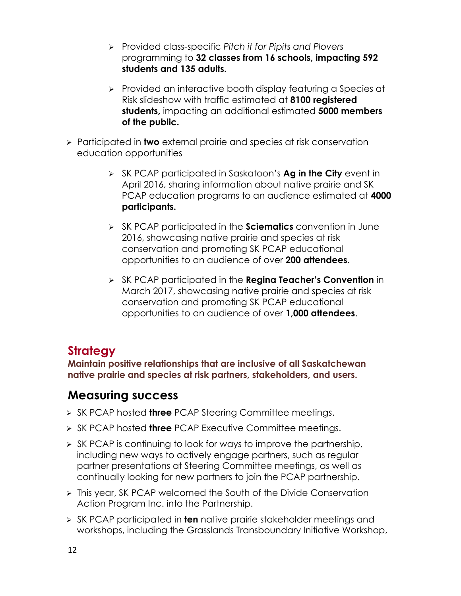- Provided class-specific *Pitch it for Pipits and Plovers*  programming to **32 classes from 16 schools, impacting 592 students and 135 adults.**
- $\triangleright$  Provided an interactive booth display featuring a Species at Risk slideshow with traffic estimated at **8100 registered students,** impacting an additional estimated **5000 members of the public.**
- Participated in **two** external prairie and species at risk conservation education opportunities
	- SK PCAP participated in Saskatoon's **Ag in the City** event in April 2016, sharing information about native prairie and SK PCAP education programs to an audience estimated at **4000 participants.**
	- SK PCAP participated in the **Sciematics** convention in June 2016, showcasing native prairie and species at risk conservation and promoting SK PCAP educational opportunities to an audience of over **200 attendees**.
	- SK PCAP participated in the **Regina Teacher's Convention** in March 2017, showcasing native prairie and species at risk conservation and promoting SK PCAP educational opportunities to an audience of over **1,000 attendees**.

# **Strategy**

**Maintain positive relationships that are inclusive of all Saskatchewan native prairie and species at risk partners, stakeholders, and users.**

- > SK PCAP hosted **three** PCAP Steering Committee meetings.
- **> SK PCAP hosted three PCAP Executive Committee meetings.**
- $\triangleright$  SK PCAP is continuing to look for ways to improve the partnership, including new ways to actively engage partners, such as regular partner presentations at Steering Committee meetings, as well as continually looking for new partners to join the PCAP partnership.
- This year, SK PCAP welcomed the South of the Divide Conservation Action Program Inc. into the Partnership.
- SK PCAP participated in **ten** native prairie stakeholder meetings and workshops, including the Grasslands Transboundary Initiative Workshop,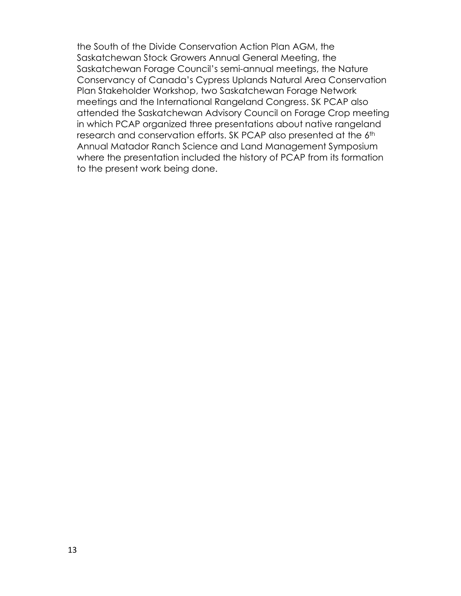the South of the Divide Conservation Action Plan AGM, the Saskatchewan Stock Growers Annual General Meeting, the Saskatchewan Forage Council's semi-annual meetings, the Nature Conservancy of Canada's Cypress Uplands Natural Area Conservation Plan Stakeholder Workshop, two Saskatchewan Forage Network meetings and the International Rangeland Congress. SK PCAP also attended the Saskatchewan Advisory Council on Forage Crop meeting in which PCAP organized three presentations about native rangeland research and conservation efforts. SK PCAP also presented at the 6th Annual Matador Ranch Science and Land Management Symposium where the presentation included the history of PCAP from its formation to the present work being done.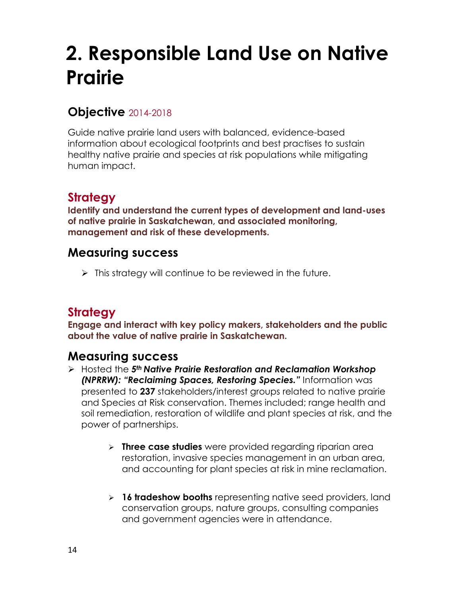# <span id="page-14-0"></span>**2. Responsible Land Use on Native Prairie**

### **Objective** 2014-2018

Guide native prairie land users with balanced, evidence-based information about ecological footprints and best practises to sustain healthy native prairie and species at risk populations while mitigating human impact.

# **Strategy**

**Identify and understand the current types of development and land-uses of native prairie in Saskatchewan, and associated monitoring, management and risk of these developments.**

#### **Measuring success**

 $\triangleright$  This strategy will continue to be reviewed in the future.

# **Strategy**

**Engage and interact with key policy makers, stakeholders and the public about the value of native prairie in Saskatchewan.** 

- Hosted the *5th Native Prairie Restoration and Reclamation Workshop (NPRRW): "Reclaiming Spaces, Restoring Species."* Information was presented to **237** stakeholders/interest groups related to native prairie and Species at Risk conservation. Themes included; range health and soil remediation, restoration of wildlife and plant species at risk, and the power of partnerships.
	- **Three case studies** were provided regarding riparian area restoration, invasive species management in an urban area, and accounting for plant species at risk in mine reclamation.
	- **16 tradeshow booths** representing native seed providers, land conservation groups, nature groups, consulting companies and government agencies were in attendance.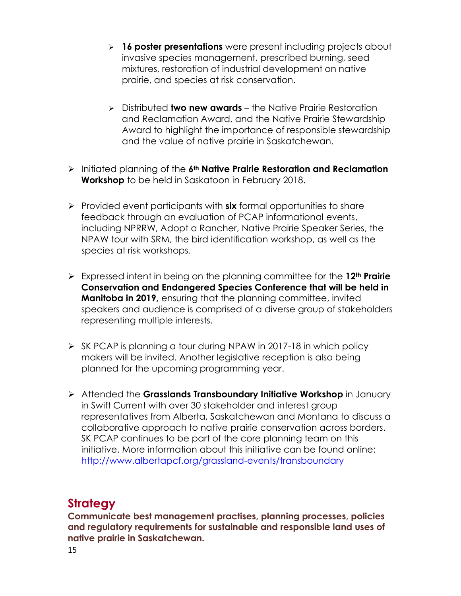- **16 poster presentations** were present including projects about invasive species management, prescribed burning, seed mixtures, restoration of industrial development on native prairie, and species at risk conservation.
- Distributed **two new awards** the Native Prairie Restoration and Reclamation Award, and the Native Prairie Stewardship Award to highlight the importance of responsible stewardship and the value of native prairie in Saskatchewan.
- Initiated planning of the **6th Native Prairie Restoration and Reclamation Workshop** to be held in Saskatoon in February 2018.
- Provided event participants with **six** formal opportunities to share feedback through an evaluation of PCAP informational events, including NPRRW, Adopt a Rancher, Native Prairie Speaker Series, the NPAW tour with SRM, the bird identification workshop, as well as the species at risk workshops.
- Expressed intent in being on the planning committee for the **12th Prairie Conservation and Endangered Species Conference that will be held in Manitoba in 2019,** ensuring that the planning committee, invited speakers and audience is comprised of a diverse group of stakeholders representing multiple interests.
- $\triangleright$  SK PCAP is planning a tour during NPAW in 2017-18 in which policy makers will be invited. Another legislative reception is also being planned for the upcoming programming year.
- Attended the **Grasslands Transboundary Initiative Workshop** in January in Swift Current with over 30 stakeholder and interest group representatives from Alberta, Saskatchewan and Montana to discuss a collaborative approach to native prairie conservation across borders. SK PCAP continues to be part of the core planning team on this initiative. More information about this initiative can be found online: <http://www.albertapcf.org/grassland-events/transboundary>

# **Strategy**

**Communicate best management practises, planning processes, policies and regulatory requirements for sustainable and responsible land uses of native prairie in Saskatchewan.**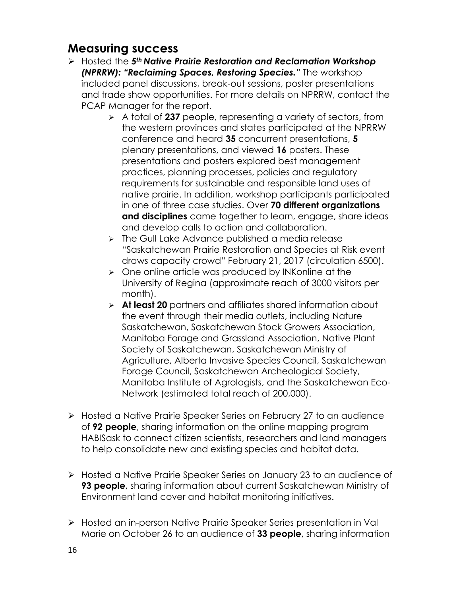- Hosted the *5th Native Prairie Restoration and Reclamation Workshop (NPRRW): "Reclaiming Spaces, Restoring Species."* The workshop included panel discussions, break-out sessions, poster presentations and trade show opportunities. For more details on NPRRW, contact the PCAP Manager for the report.
	- A total of **237** people, representing a variety of sectors, from the western provinces and states participated at the NPRRW conference and heard **35** concurrent presentations, **5** plenary presentations, and viewed **16** posters. These presentations and posters explored best management practices, planning processes, policies and regulatory requirements for sustainable and responsible land uses of native prairie. In addition, workshop participants participated in one of three case studies. Over **70 different organizations and disciplines** came together to learn, engage, share ideas and develop calls to action and collaboration.
	- > The Gull Lake Advance published a media release "Saskatchewan Prairie Restoration and Species at Risk event draws capacity crowd" February 21, 2017 (circulation 6500).
	- $\triangleright$  One online article was produced by INKonline at the University of Regina (approximate reach of 3000 visitors per month).
	- **At least 20** partners and affiliates shared information about the event through their media outlets, including Nature Saskatchewan, Saskatchewan Stock Growers Association, Manitoba Forage and Grassland Association, Native Plant Society of Saskatchewan, Saskatchewan Ministry of Agriculture, Alberta Invasive Species Council, Saskatchewan Forage Council, Saskatchewan Archeological Society, Manitoba Institute of Agrologists, and the Saskatchewan Eco-Network (estimated total reach of 200,000).
- ▶ Hosted a Native Prairie Speaker Series on February 27 to an audience of **92 people**, sharing information on the online mapping program HABISask to connect citizen scientists, researchers and land managers to help consolidate new and existing species and habitat data.
- Hosted a Native Prairie Speaker Series on January 23 to an audience of **93 people**, sharing information about current Saskatchewan Ministry of Environment land cover and habitat monitoring initiatives.
- Hosted an in-person Native Prairie Speaker Series presentation in Val Marie on October 26 to an audience of **33 people**, sharing information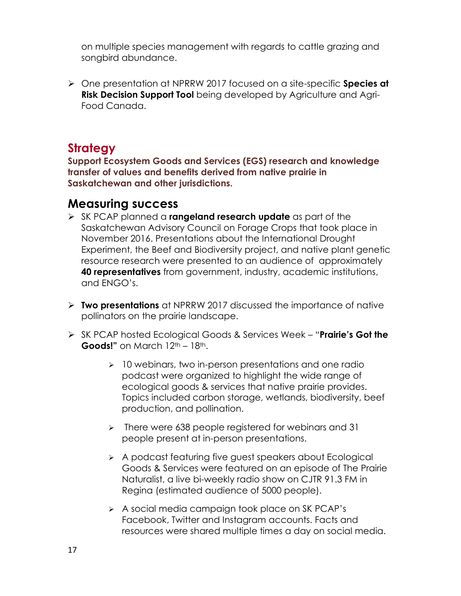on multiple species management with regards to cattle grazing and songbird abundance.

 One presentation at NPRRW 2017 focused on a site-specific **Species at Risk Decision Support Tool** being developed by Agriculture and Agri-Food Canada.

#### **Strategy**

**Support Ecosystem Goods and Services (EGS) research and knowledge transfer of values and benefits derived from native prairie in Saskatchewan and other jurisdictions.** 

- SK PCAP planned a **rangeland research update** as part of the Saskatchewan Advisory Council on Forage Crops that took place in November 2016. Presentations about the International Drought Experiment, the Beef and Biodiversity project, and native plant genetic resource research were presented to an audience of approximately **40 representatives** from government, industry, academic institutions, and ENGO's.
- **Two presentations** at NPRRW 2017 discussed the importance of native pollinators on the prairie landscape.
- SK PCAP hosted Ecological Goods & Services Week "**Prairie's Got the Goods!"** on March 12<sup>th</sup> – 18<sup>th</sup>.
	- $\geq$  10 webinars, two in-person presentations and one radio podcast were organized to highlight the wide range of ecological goods & services that native prairie provides. Topics included carbon storage, wetlands, biodiversity, beef production, and pollination.
	- $\triangleright$  There were 638 people registered for webinars and 31 people present at in-person presentations.
	- A podcast featuring five guest speakers about Ecological Goods & Services were featured on an episode of The Prairie Naturalist, a live bi-weekly radio show on CJTR 91.3 FM in Regina (estimated audience of 5000 people).
	- A social media campaign took place on SK PCAP's Facebook, Twitter and Instagram accounts. Facts and resources were shared multiple times a day on social media.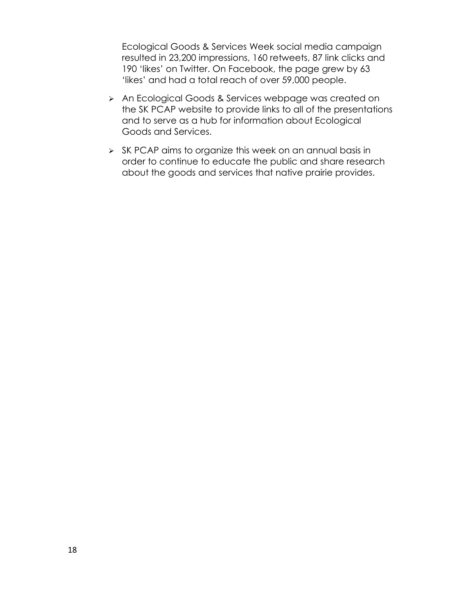Ecological Goods & Services Week social media campaign resulted in 23,200 impressions, 160 retweets, 87 link clicks and 190 'likes' on Twitter. On Facebook, the page grew by 63 'likes' and had a total reach of over 59,000 people.

- > An Ecological Goods & Services webpage was created on the SK PCAP website to provide links to all of the presentations and to serve as a hub for information about Ecological Goods and Services.
- SK PCAP aims to organize this week on an annual basis in order to continue to educate the public and share research about the goods and services that native prairie provides.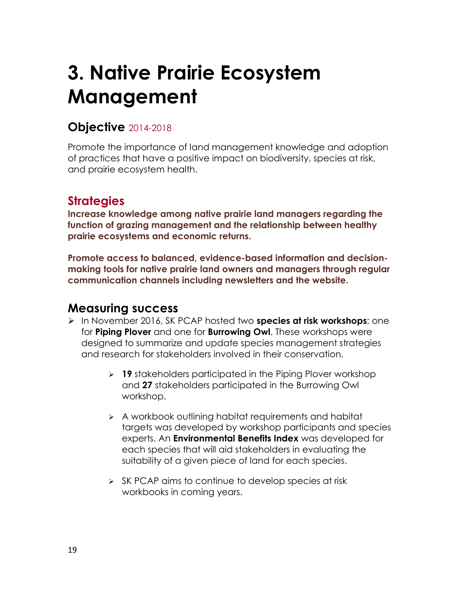# <span id="page-19-0"></span>**3. Native Prairie Ecosystem Management**

### **Objective** 2014-2018

Promote the importance of land management knowledge and adoption of practices that have a positive impact on biodiversity, species at risk, and prairie ecosystem health.

### **Strategies**

**Increase knowledge among native prairie land managers regarding the function of grazing management and the relationship between healthy prairie ecosystems and economic returns.** 

**Promote access to balanced, evidence-based information and decisionmaking tools for native prairie land owners and managers through regular communication channels including newsletters and the website.** 

- In November 2016, SK PCAP hosted two **species at risk workshops**; one for **Piping Plover** and one for **Burrowing Owl**. These workshops were designed to summarize and update species management strategies and research for stakeholders involved in their conservation.
	- **19** stakeholders participated in the Piping Plover workshop and **27** stakeholders participated in the Burrowing Owl workshop.
	- A workbook outlining habitat requirements and habitat targets was developed by workshop participants and species experts. An **Environmental Benefits Index** was developed for each species that will aid stakeholders in evaluating the suitability of a given piece of land for each species.
	- $\triangleright$  SK PCAP aims to continue to develop species at risk workbooks in coming years.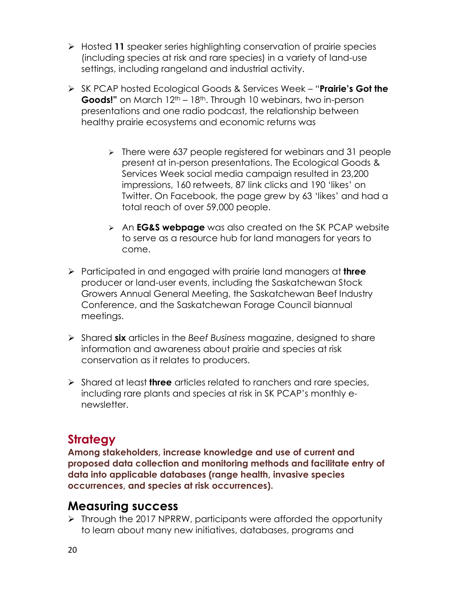- Hosted **11** speaker series highlighting conservation of prairie species (including species at risk and rare species) in a variety of land-use settings, including rangeland and industrial activity.
- SK PCAP hosted Ecological Goods & Services Week "**Prairie's Got the Goods!"** on March 12<sup>th</sup> – 18<sup>th</sup>. Through 10 webinars, two in-person presentations and one radio podcast, the relationship between healthy prairie ecosystems and economic returns was
	- > There were 637 people registered for webinars and 31 people present at in-person presentations. The Ecological Goods & Services Week social media campaign resulted in 23,200 impressions, 160 retweets, 87 link clicks and 190 'likes' on Twitter. On Facebook, the page grew by 63 'likes' and had a total reach of over 59,000 people.
	- An **EG&S webpage** was also created on the SK PCAP website to serve as a resource hub for land managers for years to come.
- Participated in and engaged with prairie land managers at **three**  producer or land-user events, including the Saskatchewan Stock Growers Annual General Meeting, the Saskatchewan Beef Industry Conference, and the Saskatchewan Forage Council biannual meetings.
- Shared **six** articles in the *Beef Business* magazine, designed to share information and awareness about prairie and species at risk conservation as it relates to producers.
- Shared at least **three** articles related to ranchers and rare species, including rare plants and species at risk in SK PCAP's monthly enewsletter.

### **Strategy**

**Among stakeholders, increase knowledge and use of current and proposed data collection and monitoring methods and facilitate entry of data into applicable databases (range health, invasive species occurrences, and species at risk occurrences).** 

#### **Measuring success**

 $\triangleright$  Through the 2017 NPRRW, participants were afforded the opportunity to learn about many new initiatives, databases, programs and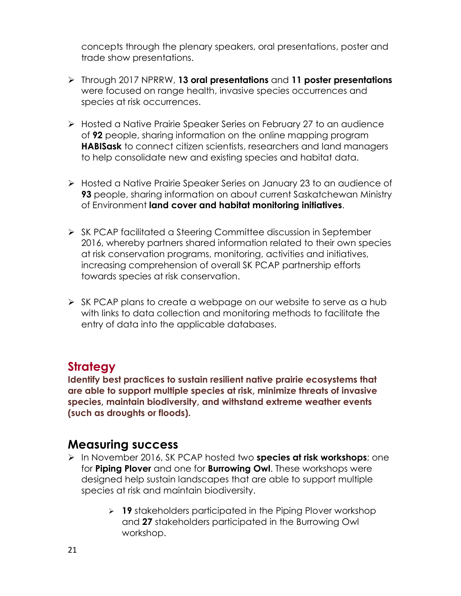concepts through the plenary speakers, oral presentations, poster and trade show presentations.

- Through 2017 NPRRW, **13 oral presentations** and **11 poster presentations** were focused on range health, invasive species occurrences and species at risk occurrences.
- > Hosted a Native Prairie Speaker Series on February 27 to an audience of **92** people, sharing information on the online mapping program **HABISask** to connect citizen scientists, researchers and land managers to help consolidate new and existing species and habitat data.
- Hosted a Native Prairie Speaker Series on January 23 to an audience of **93** people, sharing information on about current Saskatchewan Ministry of Environment **land cover and habitat monitoring initiatives**.
- ▶ SK PCAP facilitated a Steering Committee discussion in September 2016, whereby partners shared information related to their own species at risk conservation programs, monitoring, activities and initiatives, increasing comprehension of overall SK PCAP partnership efforts towards species at risk conservation.
- $\triangleright$  SK PCAP plans to create a webpage on our website to serve as a hub with links to data collection and monitoring methods to facilitate the entry of data into the applicable databases.

#### **Strategy**

**Identify best practices to sustain resilient native prairie ecosystems that are able to support multiple species at risk, minimize threats of invasive species, maintain biodiversity, and withstand extreme weather events (such as droughts or floods).** 

- <span id="page-21-0"></span> In November 2016, SK PCAP hosted two **species at risk workshops**; one for **Piping Plover** and one for **Burrowing Owl**. These workshops were designed help sustain landscapes that are able to support multiple species at risk and maintain biodiversity.
	- **19** stakeholders participated in the Piping Plover workshop and **27** stakeholders participated in the Burrowing Owl workshop.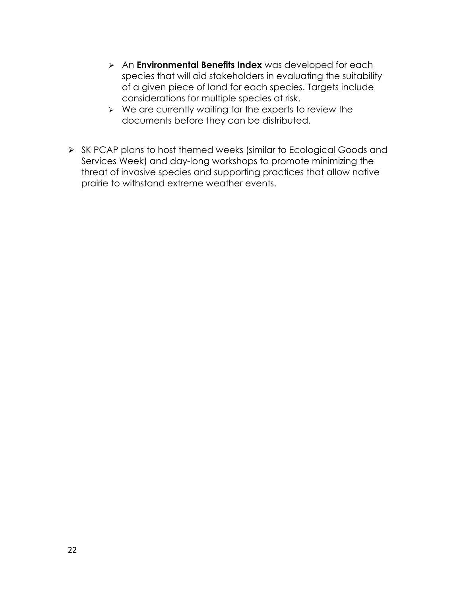- An **Environmental Benefits Index** was developed for each species that will aid stakeholders in evaluating the suitability of a given piece of land for each species. Targets include considerations for multiple species at risk.
- $\triangleright$  We are currently waiting for the experts to review the documents before they can be distributed.
- $\triangleright$  SK PCAP plans to host themed weeks (similar to Ecological Goods and Services Week) and day-long workshops to promote minimizing the threat of invasive species and supporting practices that allow native prairie to withstand extreme weather events.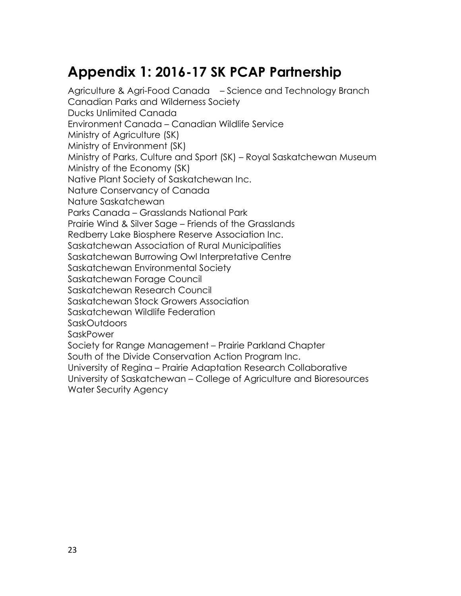# <span id="page-23-0"></span>**Appendix 1: 2016-17 SK PCAP Partnership**

Agriculture & Agri-Food Canada – Science and Technology Branch Canadian Parks and Wilderness Society Ducks Unlimited Canada Environment Canada – Canadian Wildlife Service Ministry of Agriculture (SK) Ministry of Environment (SK) Ministry of Parks, Culture and Sport (SK) – Royal Saskatchewan Museum Ministry of the Economy (SK) Native Plant Society of Saskatchewan Inc. Nature Conservancy of Canada Nature Saskatchewan Parks Canada – Grasslands National Park Prairie Wind & Silver Sage – Friends of the Grasslands Redberry Lake Biosphere Reserve Association Inc. Saskatchewan Association of Rural Municipalities Saskatchewan Burrowing Owl Interpretative Centre Saskatchewan Environmental Society Saskatchewan Forage Council Saskatchewan Research Council Saskatchewan Stock Growers Association Saskatchewan Wildlife Federation SaskOutdoors SaskPower Society for Range Management – Prairie Parkland Chapter South of the Divide Conservation Action Program Inc. University of Regina – Prairie Adaptation Research Collaborative University of Saskatchewan – College of Agriculture and Bioresources Water Security Agency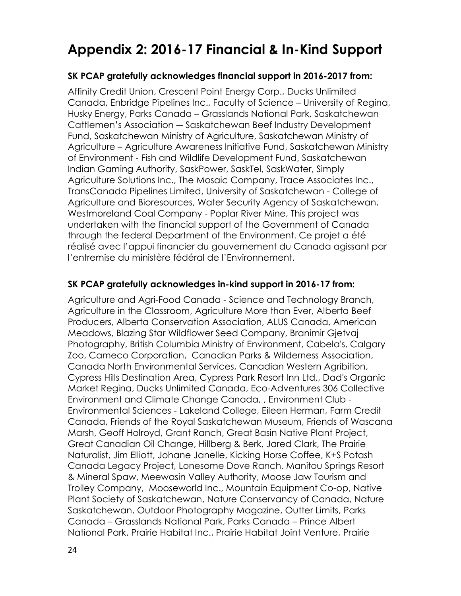# <span id="page-24-1"></span><span id="page-24-0"></span>**Appendix 2: 2016-17 Financial & In-Kind Support**

#### **SK PCAP gratefully acknowledges financial support in 2016-2017 from:**

Affinity Credit Union, Crescent Point Energy Corp., Ducks Unlimited Canada, Enbridge Pipelines Inc., Faculty of Science – University of Regina, Husky Energy, Parks Canada – Grasslands National Park, Saskatchewan Cattlemen's Association ― Saskatchewan Beef Industry Development Fund, Saskatchewan Ministry of Agriculture, Saskatchewan Ministry of Agriculture – Agriculture Awareness Initiative Fund, Saskatchewan Ministry of Environment - Fish and Wildlife Development Fund, Saskatchewan Indian Gaming Authority, SaskPower, SaskTel, SaskWater, Simply Agriculture Solutions Inc., The Mosaic Company, Trace Associates Inc., TransCanada Pipelines Limited, University of Saskatchewan - College of Agriculture and Bioresources, Water Security Agency of Saskatchewan, Westmoreland Coal Company - Poplar River Mine, This project was undertaken with the financial support of the Government of Canada through the federal Department of the Environment. Ce projet a été réalisé avec l'appui financier du gouvernement du Canada agissant par l'entremise du ministère fédéral de l'Environnement.

#### **SK PCAP gratefully acknowledges in-kind support in 2016-17 from:**

Agriculture and Agri-Food Canada - Science and Technology Branch, Agriculture in the Classroom, Agriculture More than Ever, Alberta Beef Producers, Alberta Conservation Association, ALUS Canada, American Meadows, Blazing Star Wildflower Seed Company, Branimir Gjetvaj Photography, British Columbia Ministry of Environment, Cabela's, Calgary Zoo, Cameco Corporation, Canadian Parks & Wilderness Association, Canada North Environmental Services, Canadian Western Agribition, Cypress Hills Destination Area, Cypress Park Resort Inn Ltd., Dad's Organic Market Regina, Ducks Unlimited Canada, Eco-Adventures 306 Collective Environment and Climate Change Canada, , Environment Club - Environmental Sciences - Lakeland College, Eileen Herman, Farm Credit Canada, Friends of the Royal Saskatchewan Museum, Friends of Wascana Marsh, Geoff Holroyd, Grant Ranch, Great Basin Native Plant Project, Great Canadian Oil Change, Hillberg & Berk, Jared Clark, The Prairie Naturalist, Jim Elliott, Johane Janelle, Kicking Horse Coffee, K+S Potash Canada Legacy Project, Lonesome Dove Ranch, Manitou Springs Resort & Mineral Spaw, Meewasin Valley Authority, Moose Jaw Tourism and Trolley Company, Mooseworld Inc., Mountain Equipment Co-op, Native Plant Society of Saskatchewan, Nature Conservancy of Canada, Nature Saskatchewan, Outdoor Photography Magazine, Outter Limits, Parks Canada – Grasslands National Park, Parks Canada – Prince Albert National Park, Prairie Habitat Inc., Prairie Habitat Joint Venture, Prairie